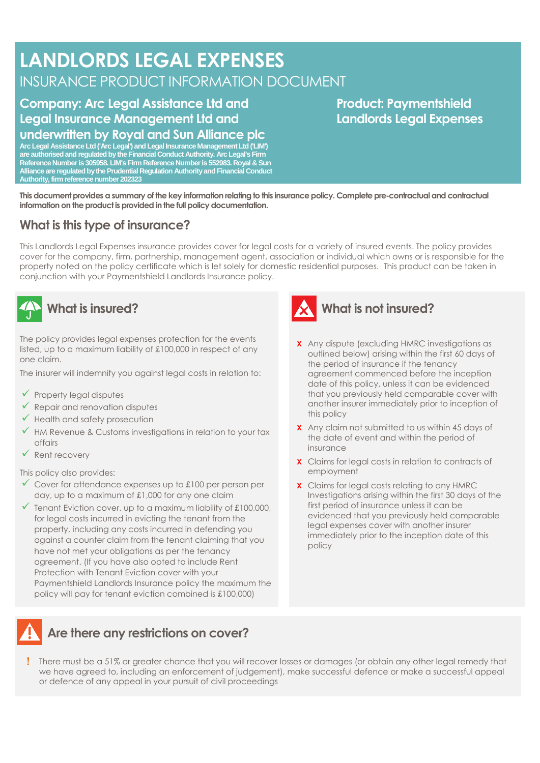# **LANDLORDS LEGAL EXPENSES** INSURANCE PRODUCT INFORMATION DOCUMENT

#### **Company: Arc Legal Assistance Ltd and Legal Insurance Management Ltd and underwritten by Royal and Sun Alliance plc**

**Arc Legal Assistance Ltd ('Arc Legal') and Legal Insurance Management Ltd ('LIM') are authorised and regulated by the Financial Conduct Authority. Arc Legal's Firm Reference Number is 305958. LIM's Firm Reference Number is 552983. Royal & Sun Alliance are regulated by the Prudential Regulation Authority and Financial Conduct Authority, firm reference number 202323**

#### **Product: Paymentshield Landlords Legal Expenses**

**This document provides a summary of the key information relating to this insurance policy. Complete pre-contractual and contractual information on the product is provided in the full policy documentation.**

#### **What is this type of insurance?**

This Landlords Legal Expenses insurance provides cover for legal costs for a variety of insured events. The policy provides cover for the company, firm, partnership, management agent, association or individual which owns or is responsible for the property noted on the policy certificate which is let solely for domestic residential purposes. This product can be taken in conjunction with your Paymentshield Landlords Insurance policy.



### **What is insured?**

The policy provides legal expenses protection for the events listed, up to a maximum liability of £100,000 in respect of any one claim.

The insurer will indemnify you against legal costs in relation to:

- $\checkmark$  Property legal disputes
- $\checkmark$  Repair and renovation disputes
- ✓ Health and safety prosecution
- $\checkmark$  HM Revenue & Customs investigations in relation to your tax affairs
- ✓ Rent recovery

This policy also provides:

- $\checkmark$  Cover for attendance expenses up to £100 per person per day, up to a maximum of £1,000 for any one claim
- $\checkmark$  Tenant Eviction cover, up to a maximum liability of £100,000, for legal costs incurred in evicting the tenant from the property, including any costs incurred in defending you against a counter claim from the tenant claiming that you have not met your obligations as per the tenancy agreement. (If you have also opted to include Rent Protection with Tenant Eviction cover with your Paymentshield Landlords Insurance policy the maximum the policy will pay for tenant eviction combined is £100,000)



#### **What is not insured?**

- **X** Any dispute (excluding HMRC investigations as outlined below) arising within the first 60 days of the period of insurance if the tenancy agreement commenced before the inception date of this policy, unless it can be evidenced that you previously held comparable cover with another insurer immediately prior to inception of this policy
- **X** Any claim not submitted to us within 45 days of the date of event and within the period of insurance
- **X** Claims for legal costs in relation to contracts of employment
- **X** Claims for legal costs relating to any HMRC Investigations arising within the first 30 days of the first period of insurance unless it can be evidenced that you previously held comparable legal expenses cover with another insurer immediately prior to the inception date of this policy

#### **Are there any restrictions on cover?**

 There must be a 51% or greater chance that you will recover losses or damages (or obtain any other legal remedy that we have agreed to, including an enforcement of judgement), make successful defence or make a successful appeal or defence of any appeal in your pursuit of civil proceedings